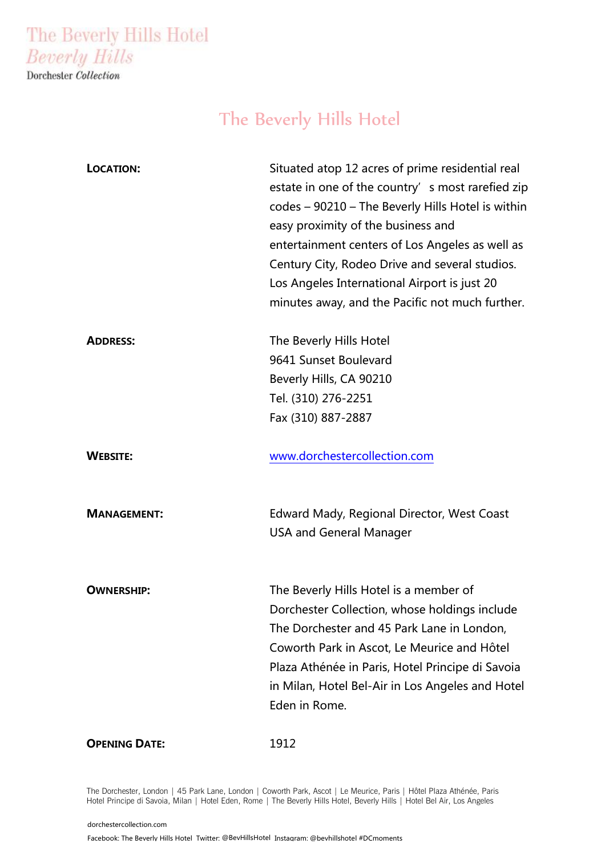The Beverly Hills Hotel **Beverly Hills** 

Dorchester Collection

# The Beverly Hills Hotel

| LOCATION:            | Situated atop 12 acres of prime residential real  |
|----------------------|---------------------------------------------------|
|                      | estate in one of the country' s most rarefied zip |
|                      | codes – 90210 – The Beverly Hills Hotel is within |
|                      | easy proximity of the business and                |
|                      | entertainment centers of Los Angeles as well as   |
|                      | Century City, Rodeo Drive and several studios.    |
|                      | Los Angeles International Airport is just 20      |
|                      | minutes away, and the Pacific not much further.   |
| <b>ADDRESS:</b>      | The Beverly Hills Hotel                           |
|                      | 9641 Sunset Boulevard                             |
|                      | Beverly Hills, CA 90210                           |
|                      | Tel. (310) 276-2251                               |
|                      | Fax (310) 887-2887                                |
| <b>WEBSITE:</b>      | www.dorchestercollection.com                      |
|                      |                                                   |
| <b>MANAGEMENT:</b>   | Edward Mady, Regional Director, West Coast        |
|                      | <b>USA and General Manager</b>                    |
| <b>OWNERSHIP:</b>    | The Beverly Hills Hotel is a member of            |
|                      | Dorchester Collection, whose holdings include     |
|                      | The Dorchester and 45 Park Lane in London,        |
|                      | Coworth Park in Ascot, Le Meurice and Hôtel       |
|                      | Plaza Athénée in Paris, Hotel Principe di Savoia  |
|                      | in Milan, Hotel Bel-Air in Los Angeles and Hotel  |
|                      | Eden in Rome.                                     |
| <b>OPENING DATE:</b> | 1912                                              |

The Dorchester, London | 45 Park Lane, London | Coworth Park, Ascot | Le Meurice, Paris | Hôtel Plaza Athénée, Paris Hotel Principe di Savoia, Milan | Hotel Eden, Rome | The Beverly Hills Hotel, Beverly Hills | Hotel Bel Air, Los Angeles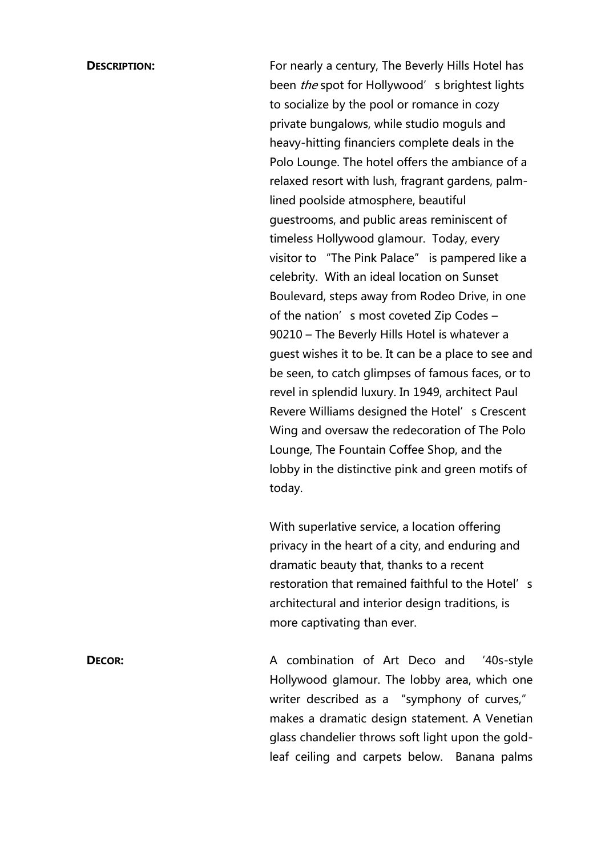**DESCRIPTION:** For nearly a century, The Beverly Hills Hotel has been *the* spot for Hollywood's brightest lights to socialize by the pool or romance in cozy private bungalows, while studio moguls and heavy-hitting financiers complete deals in the Polo Lounge. The hotel offers the ambiance of a relaxed resort with lush, fragrant gardens, palmlined poolside atmosphere, beautiful guestrooms, and public areas reminiscent of timeless Hollywood glamour. Today, every visitor to "The Pink Palace" is pampered like a celebrity. With an ideal location on Sunset Boulevard, steps away from Rodeo Drive, in one of the nation's most coveted Zip Codes – 90210 – The Beverly Hills Hotel is whatever a guest wishes it to be. It can be a place to see and be seen, to catch glimpses of famous faces, or to revel in splendid luxury. In 1949, architect Paul Revere Williams designed the Hotel's Crescent Wing and oversaw the redecoration of The Polo Lounge, The Fountain Coffee Shop, and the lobby in the distinctive pink and green motifs of today.

> With superlative service, a location offering privacy in the heart of a city, and enduring and dramatic beauty that, thanks to a recent restoration that remained faithful to the Hotel's architectural and interior design traditions, is more captivating than ever.

**DECOR:** A combination of Art Deco and '40s-style Hollywood glamour. The lobby area, which one writer described as a "symphony of curves," makes a dramatic design statement. A Venetian glass chandelier throws soft light upon the goldleaf ceiling and carpets below. Banana palms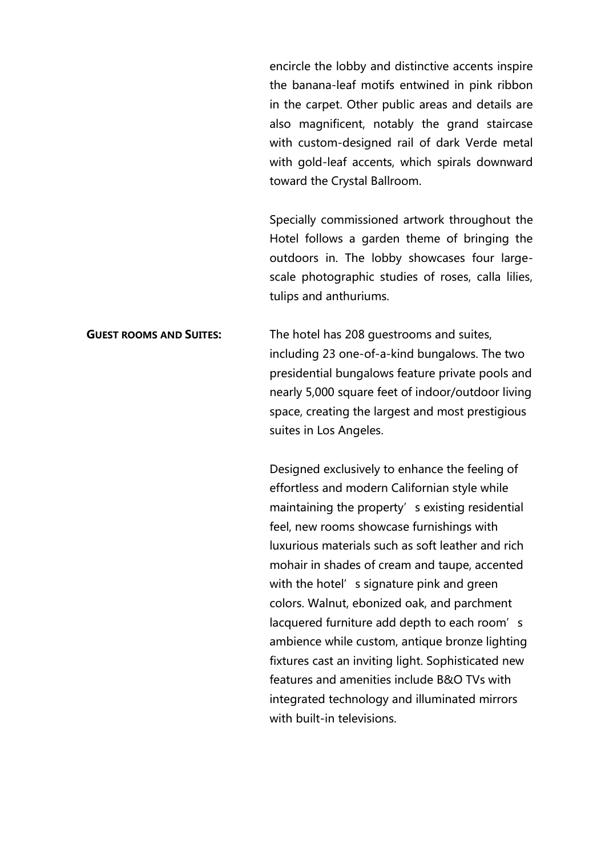encircle the lobby and distinctive accents inspire the banana-leaf motifs entwined in pink ribbon in the carpet. Other public areas and details are also magnificent, notably the grand staircase with custom-designed rail of dark Verde metal with gold-leaf accents, which spirals downward toward the Crystal Ballroom.

Specially commissioned artwork throughout the Hotel follows a garden theme of bringing the outdoors in. The lobby showcases four largescale photographic studies of roses, calla lilies, tulips and anthuriums.

**GUEST ROOMS AND SUITES:** The hotel has 208 guestrooms and suites, including 23 one-of-a-kind bungalows. The two presidential bungalows feature private pools and nearly 5,000 square feet of indoor/outdoor living space, creating the largest and most prestigious suites in Los Angeles.

> Designed exclusively to enhance the feeling of effortless and modern Californian style while maintaining the property's existing residential feel, new rooms showcase furnishings with luxurious materials such as soft leather and rich mohair in shades of cream and taupe, accented with the hotel's signature pink and green colors. Walnut, ebonized oak, and parchment lacquered furniture add depth to each room's ambience while custom, antique bronze lighting fixtures cast an inviting light. Sophisticated new features and amenities include B&O TVs with integrated technology and illuminated mirrors with built-in televisions.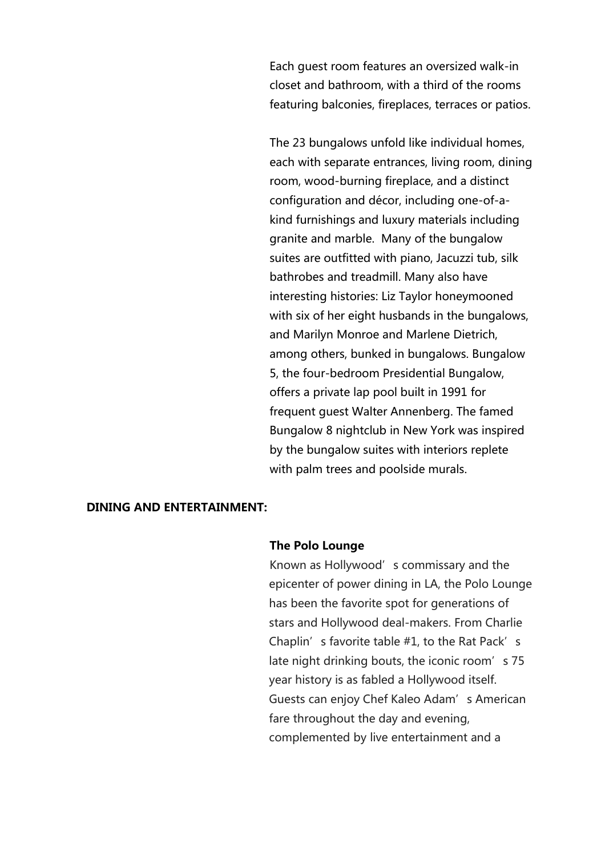Each guest room features an oversized walk-in closet and bathroom, with a third of the rooms featuring balconies, fireplaces, terraces or patios.

The 23 bungalows unfold like individual homes, each with separate entrances, living room, dining room, wood-burning fireplace, and a distinct configuration and décor, including one-of-akind furnishings and luxury materials including granite and marble. Many of the bungalow suites are outfitted with piano, Jacuzzi tub, silk bathrobes and treadmill. Many also have interesting histories: Liz Taylor honeymooned with six of her eight husbands in the bungalows, and Marilyn Monroe and Marlene Dietrich, among others, bunked in bungalows. Bungalow 5, the four-bedroom Presidential Bungalow, offers a private lap pool built in 1991 for frequent guest Walter Annenberg. The famed Bungalow 8 nightclub in New York was inspired by the bungalow suites with interiors replete with palm trees and poolside murals.

# **DINING AND ENTERTAINMENT:**

### **The Polo Lounge**

Known as Hollywood's commissary and the epicenter of power dining in LA, the Polo Lounge has been the favorite spot for generations of stars and Hollywood deal-makers. From Charlie Chaplin's favorite table #1, to the Rat Pack's late night drinking bouts, the iconic room's 75 year history is as fabled a Hollywood itself. Guests can enjoy Chef Kaleo Adam's American fare throughout the day and evening, complemented by live entertainment and a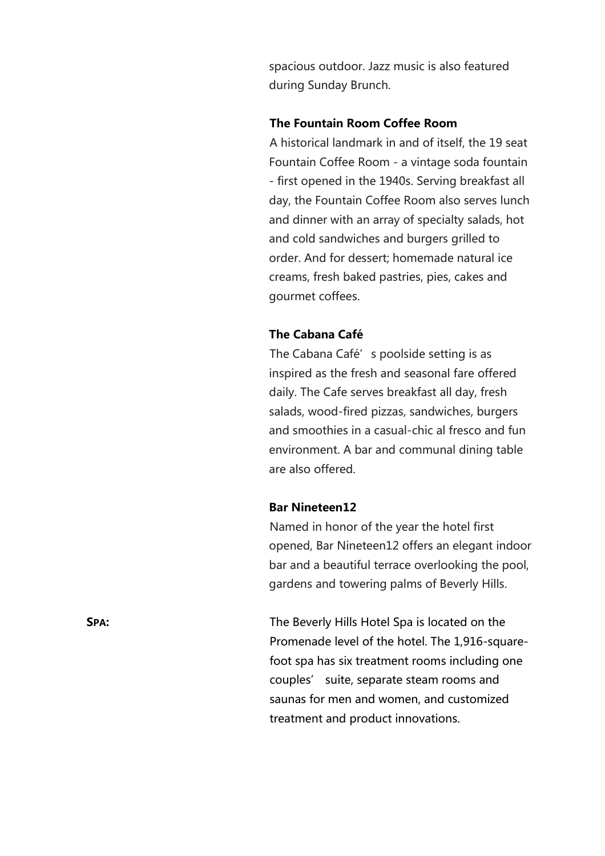spacious outdoor. Jazz music is also featured during Sunday Brunch.

# **The Fountain Room Coffee Room**

A historical landmark in and of itself, the 19 seat Fountain Coffee Room - a vintage soda fountain - first opened in the 1940s. Serving breakfast all day, the Fountain Coffee Room also serves lunch and dinner with an array of specialty salads, hot and cold sandwiches and burgers grilled to order. And for dessert; homemade natural ice creams, fresh baked pastries, pies, cakes and gourmet coffees.

## **The Cabana Café**

The Cabana Café's poolside setting is as inspired as the fresh and seasonal fare offered daily. The Cafe serves breakfast all day, fresh salads, wood-fired pizzas, sandwiches, burgers and smoothies in a casual-chic al fresco and fun environment. A bar and communal dining table are also offered.

# **Bar Nineteen12**

Named in honor of the year the hotel first opened, Bar Nineteen12 offers an elegant indoor bar and a beautiful terrace overlooking the pool, gardens and towering palms of Beverly Hills.

**SPA:** The Beverly Hills Hotel Spa is located on the Promenade level of the hotel. The 1,916-squarefoot spa has six treatment rooms including one couples' suite, separate steam rooms and saunas for men and women, and customized treatment and product innovations.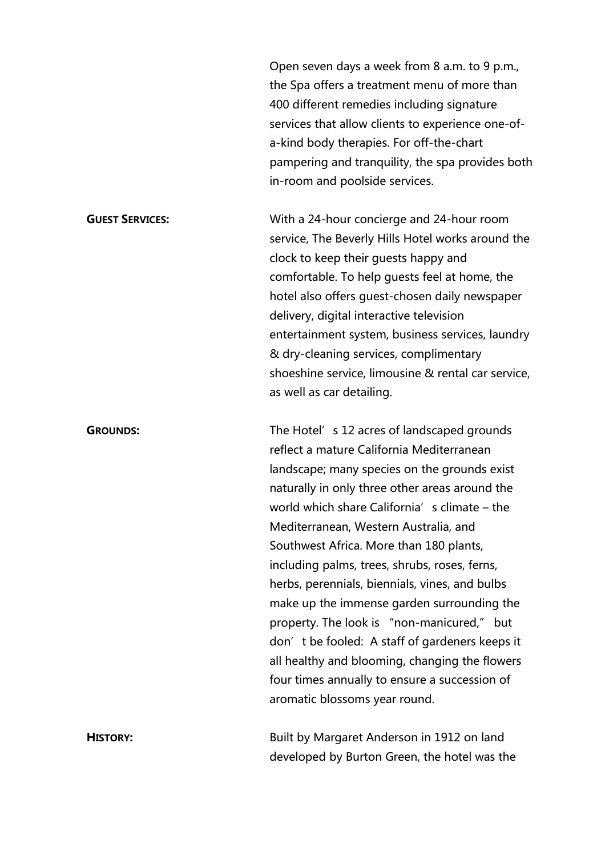Open seven days a week from 8 a.m. to 9 p.m., the Spa offers a treatment menu of more than 400 different remedies including signature services that allow clients to experience one-ofa-kind body therapies. For off-the-chart pampering and tranquility, the spa provides both in-room and poolside services.

**GUEST SERVICES:** With a 24-hour concierge and 24-hour room service, The Beverly Hills Hotel works around the clock to keep their guests happy and comfortable. To help guests feel at home, the hotel also offers guest-chosen daily newspaper delivery, digital interactive television entertainment system, business services, laundry & dry-cleaning services, complimentary shoeshine service, limousine & rental car service, as well as car detailing.

**GROUNDS:** The Hotel's 12 acres of landscaped grounds reflect a mature California Mediterranean landscape; many species on the grounds exist naturally in only three other areas around the world which share California's climate – the Mediterranean, Western Australia, and Southwest Africa. More than 180 plants, including palms, trees, shrubs, roses, ferns, herbs, perennials, biennials, vines, and bulbs make up the immense garden surrounding the property. The look is "non-manicured," but don't be fooled: A staff of gardeners keeps it all healthy and blooming, changing the flowers four times annually to ensure a succession of aromatic blossoms year round.

**HISTORY:** Built by Margaret Anderson in 1912 on land developed by Burton Green, the hotel was the